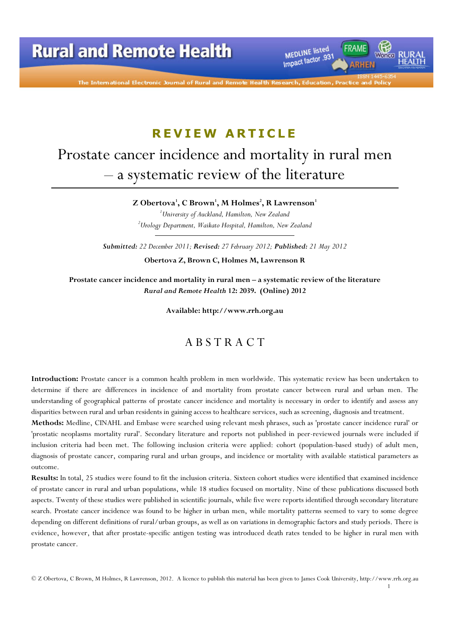

The International Electronic Journal of Rural and Remote Health R

# R E V I E W ARTICLE

# Prostate cancer incidence and mortality in rural men – a systematic review of the literature

Z Obertova $^{\rm l}$ , C Brown $^{\rm l}$ , M Holmes $^{\rm l}$ , R Lawrenson $^{\rm l}$ 

 $1$ University of Auckland, Hamilton, New Zealand  $2$ Urology Department, Waikato Hospital, Hamilton, New Zealand

Submitted: 22 December 2011; Revised: 27 February 2012; Published: 21 May 2012

Obertova Z, Brown C, Holmes M, Lawrenson R

Prostate cancer incidence and mortality in rural men – a systematic review of the literature Rural and Remote Health 12: 2039. (Online) 2012

Available: http://www.rrh.org.au

## A B S T R A C T

Introduction: Prostate cancer is a common health problem in men worldwide. This systematic review has been undertaken to determine if there are differences in incidence of and mortality from prostate cancer between rural and urban men. The understanding of geographical patterns of prostate cancer incidence and mortality is necessary in order to identify and assess any disparities between rural and urban residents in gaining access to healthcare services, such as screening, diagnosis and treatment.

Methods: Medline, CINAHL and Embase were searched using relevant mesh phrases, such as 'prostate cancer incidence rural' or 'prostatic neoplasms mortality rural'. Secondary literature and reports not published in peer-reviewed journals were included if inclusion criteria had been met. The following inclusion criteria were applied: cohort (population-based study) of adult men, diagnosis of prostate cancer, comparing rural and urban groups, and incidence or mortality with available statistical parameters as outcome.

Results: In total, 25 studies were found to fit the inclusion criteria. Sixteen cohort studies were identified that examined incidence of prostate cancer in rural and urban populations, while 18 studies focused on mortality. Nine of these publications discussed both aspects. Twenty of these studies were published in scientific journals, while five were reports identified through secondary literature search. Prostate cancer incidence was found to be higher in urban men, while mortality patterns seemed to vary to some degree depending on different definitions of rural/urban groups, as well as on variations in demographic factors and study periods. There is evidence, however, that after prostate-specific antigen testing was introduced death rates tended to be higher in rural men with prostate cancer.

1

<sup>©</sup> Z Obertova, C Brown, M Holmes, R Lawrenson, 2012. A licence to publish this material has been given to James Cook University, http://www.rrh.org.au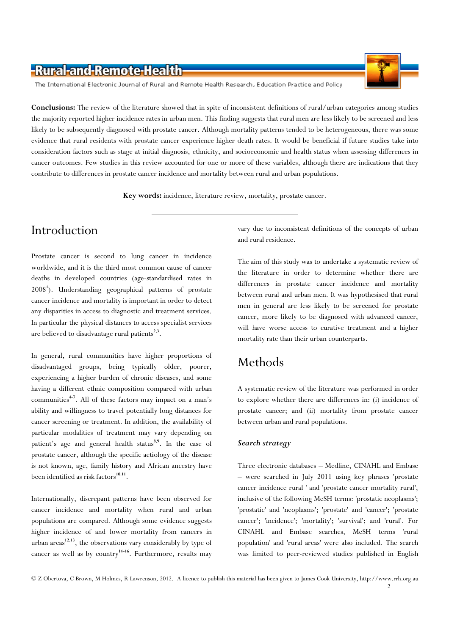The International Electronic Journal of Rural and Remote Health Research, Education Practice and Policy

Conclusions: The review of the literature showed that in spite of inconsistent definitions of rural/urban categories among studies the majority reported higher incidence rates in urban men. This finding suggests that rural men are less likely to be screened and less likely to be subsequently diagnosed with prostate cancer. Although mortality patterns tended to be heterogeneous, there was some evidence that rural residents with prostate cancer experience higher death rates. It would be beneficial if future studies take into consideration factors such as stage at initial diagnosis, ethnicity, and socioeconomic and health status when assessing differences in cancer outcomes. Few studies in this review accounted for one or more of these variables, although there are indications that they contribute to differences in prostate cancer incidence and mortality between rural and urban populations.

Key words: incidence, literature review, mortality, prostate cancer.

## Introduction

Prostate cancer is second to lung cancer in incidence worldwide, and it is the third most common cause of cancer deaths in developed countries (age-standardised rates in 2008<sup>1</sup>). Understanding geographical patterns of prostate cancer incidence and mortality is important in order to detect any disparities in access to diagnostic and treatment services. In particular the physical distances to access specialist services are believed to disadvantage rural patients<sup>2,3</sup>.

In general, rural communities have higher proportions of disadvantaged groups, being typically older, poorer, experiencing a higher burden of chronic diseases, and some having a different ethnic composition compared with urban communities<sup>4-7</sup>. All of these factors may impact on a man's ability and willingness to travel potentially long distances for cancer screening or treatment. In addition, the availability of particular modalities of treatment may vary depending on patient's age and general health status<sup>8,9</sup>. In the case of prostate cancer, although the specific aetiology of the disease is not known, age, family history and African ancestry have been identified as risk factors<sup>10,11</sup>.

Internationally, discrepant patterns have been observed for cancer incidence and mortality when rural and urban populations are compared. Although some evidence suggests higher incidence of and lower mortality from cancers in urban  $\arccos^{12,13}$ , the observations vary considerably by type of cancer as well as by country $14-16$ . Furthermore, results may

vary due to inconsistent definitions of the concepts of urban and rural residence.

The aim of this study was to undertake a systematic review of the literature in order to determine whether there are differences in prostate cancer incidence and mortality between rural and urban men. It was hypothesised that rural men in general are less likely to be screened for prostate cancer, more likely to be diagnosed with advanced cancer, will have worse access to curative treatment and a higher mortality rate than their urban counterparts.

## Methods

A systematic review of the literature was performed in order to explore whether there are differences in: (i) incidence of prostate cancer; and (ii) mortality from prostate cancer between urban and rural populations.

#### Search strategy

Three electronic databases – Medline, CINAHL and Embase – were searched in July 2011 using key phrases 'prostate cancer incidence rural ' and 'prostate cancer mortality rural', inclusive of the following MeSH terms: 'prostatic neoplasms'; 'prostatic' and 'neoplasms'; 'prostate' and 'cancer'; 'prostate cancer'; 'incidence'; 'mortality'; 'survival'; and 'rural'. For CINAHL and Embase searches, MeSH terms 'rural population' and 'rural areas' were also included. The search was limited to peer-reviewed studies published in English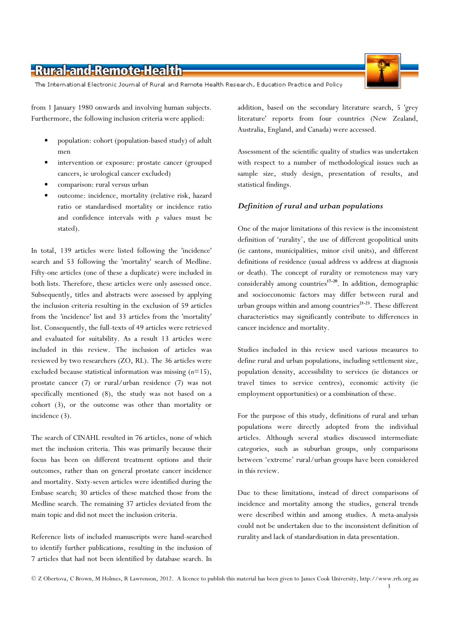The International Electronic Journal of Rural and Remote Health Research, Education Practice and Policy

from 1 January 1980 onwards and involving human subjects. Furthermore, the following inclusion criteria were applied:

- population: cohort (population-based study) of adult men
- intervention or exposure: prostate cancer (grouped cancers, ie urological cancer excluded)
- comparison: rural versus urban
- outcome: incidence, mortality (relative risk, hazard ratio or standardised mortality or incidence ratio and confidence intervals with  $p$  values must be stated).

In total, 139 articles were listed following the 'incidence' search and 53 following the 'mortality' search of Medline. Fifty-one articles (one of these a duplicate) were included in both lists. Therefore, these articles were only assessed once. Subsequently, titles and abstracts were assessed by applying the inclusion criteria resulting in the exclusion of 59 articles from the 'incidence' list and 33 articles from the 'mortality' list. Consequently, the full-texts of 49 articles were retrieved and evaluated for suitability. As a result 13 articles were included in this review. The inclusion of articles was reviewed by two researchers (ZO, RL). The 36 articles were excluded because statistical information was missing  $(n=15)$ , prostate cancer (7) or rural/urban residence (7) was not specifically mentioned (8), the study was not based on a cohort (3), or the outcome was other than mortality or incidence (3).

The search of CINAHL resulted in 76 articles, none of which met the inclusion criteria. This was primarily because their focus has been on different treatment options and their outcomes, rather than on general prostate cancer incidence and mortality. Sixty-seven articles were identified during the Embase search; 30 articles of these matched those from the Medline search. The remaining 37 articles deviated from the main topic and did not meet the inclusion criteria.

Reference lists of included manuscripts were hand-searched to identify further publications, resulting in the inclusion of 7 articles that had not been identified by database search. In

addition, based on the secondary literature search, 5 'grey literature' reports from four countries (New Zealand, Australia, England, and Canada) were accessed.

Assessment of the scientific quality of studies was undertaken with respect to a number of methodological issues such as sample size, study design, presentation of results, and statistical findings.

### Definition of rural and urban populations

One of the major limitations of this review is the inconsistent definition of 'rurality', the use of different geopolitical units (ie cantons, municipalities, minor civil units), and different definitions of residence (usual address vs address at diagnosis or death). The concept of rurality or remoteness may vary considerably among countries<sup>17-20</sup>. In addition, demographic and socioeconomic factors may differ between rural and urban groups within and among countries<sup>21-23</sup>. These different characteristics may significantly contribute to differences in cancer incidence and mortality.

Studies included in this review used various measures to define rural and urban populations, including settlement size, population density, accessibility to services (ie distances or travel times to service centres), economic activity (ie employment opportunities) or a combination of these.

For the purpose of this study, definitions of rural and urban populations were directly adopted from the individual articles. Although several studies discussed intermediate categories, such as suburban groups, only comparisons between 'extreme' rural/urban groups have been considered in this review.

Due to these limitations, instead of direct comparisons of incidence and mortality among the studies, general trends were described within and among studies. A meta-analysis could not be undertaken due to the inconsistent definition of rurality and lack of standardisation in data presentation.

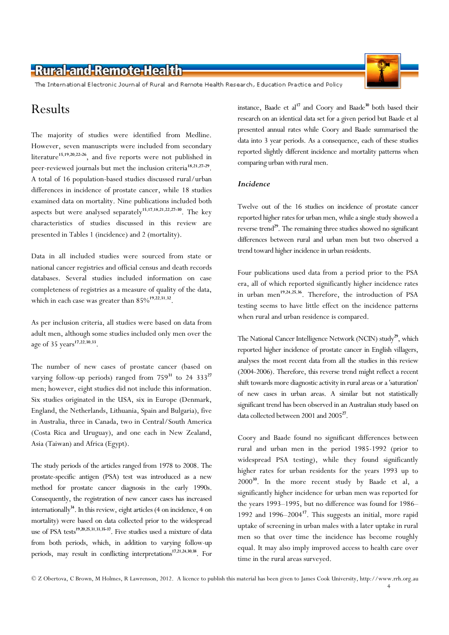The International Electronic Journal of Rural and Remote Health Research, Education Practice and Policy

## Results

The majority of studies were identified from Medline. However, seven manuscripts were included from secondary literature<sup>15,19,20,22-26</sup>, and five reports were not published in peer-reviewed journals but met the inclusion criteria<sup>18,21,27-29</sup>. A total of 16 population-based studies discussed rural/urban differences in incidence of prostate cancer, while 18 studies examined data on mortality. Nine publications included both aspects but were analysed separately<sup>15,17,18,21,22,27-30</sup>. The kev characteristics of studies discussed in this review are presented in Tables 1 (incidence) and 2 (mortality).

Data in all included studies were sourced from state or national cancer registries and official census and death records databases. Several studies included information on case completeness of registries as a measure of quality of the data, which in each case was greater than  $85\%^{19,22,31,32}$ .

As per inclusion criteria, all studies were based on data from adult men, although some studies included only men over the age of 35 years<sup>17,22,30,33</sup>.

The number of new cases of prostate cancer (based on varying follow-up periods) ranged from  $759^{31}$  to 24 333<sup>27</sup> men; however, eight studies did not include this information. Six studies originated in the USA, six in Europe (Denmark, England, the Netherlands, Lithuania, Spain and Bulgaria), five in Australia, three in Canada, two in Central/South America (Costa Rica and Uruguay), and one each in New Zealand, Asia (Taiwan) and Africa (Egypt).

The study periods of the articles ranged from 1978 to 2008. The prostate-specific antigen (PSA) test was introduced as a new method for prostate cancer diagnosis in the early 1990s. Consequently, the registration of new cancer cases has increased internationally<sup>34</sup>. In this review, eight articles (4 on incidence, 4 on mortality) were based on data collected prior to the widespread use of PSA tests<sup>19,20,25,31,33,35-37</sup>. Five studies used a mixture of data from both periods, which, in addition to varying follow-up periods, may result in conflicting interpretations<sup>17,21,24,30,38</sup>. For

instance, Baade et al<sup>17</sup> and Coory and Baade<sup>30</sup> both based their research on an identical data set for a given period but Baade et al presented annual rates while Coory and Baade summarised the data into 3 year periods. As a consequence, each of these studies reported slightly different incidence and mortality patterns when comparing urban with rural men.

### **Incidence**

Twelve out of the 16 studies on incidence of prostate cancer reported higher rates for urban men, while a single study showed a reverse trend<sup>29</sup>. The remaining three studies showed no significant differences between rural and urban men but two observed a trend toward higher incidence in urban residents.

Four publications used data from a period prior to the PSA era, all of which reported significantly higher incidence rates in urban men<sup>19,24,25,36</sup>. Therefore, the introduction of PSA testing seems to have little effect on the incidence patterns when rural and urban residence is compared.

The National Cancer Intelligence Network (NCIN) study<sup>29</sup>, which reported higher incidence of prostate cancer in English villagers, analyses the most recent data from all the studies in this review (2004-2006). Therefore, this reverse trend might reflect a recent shift towards more diagnostic activity in rural areas or a 'saturation' of new cases in urban areas. A similar but not statistically significant trend has been observed in an Australian study based on data collected between 2001 and 2005<sup>27</sup>.

Coory and Baade found no significant differences between rural and urban men in the period 1985-1992 (prior to widespread PSA testing), while they found significantly higher rates for urban residents for the years 1993 up to 2000<sup>30</sup>. In the more recent study by Baade et al, a significantly higher incidence for urban men was reported for the years 1993–1995, but no difference was found for 1986– 1992 and  $1996-2004^{17}$ . This suggests an initial, more rapid uptake of screening in urban males with a later uptake in rural men so that over time the incidence has become roughly equal. It may also imply improved access to health care over time in the rural areas surveyed.

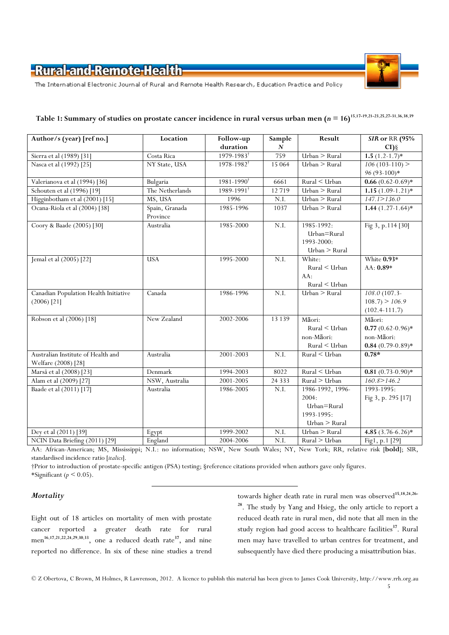

The International Electronic Journal of Rural and Remote Health Research, Education Practice and Policy

| Author/s (year) [ref no.]                                 | Location                   | Follow-up               | Sample   | Result                                                      | SIR or RR (95%                                                    |
|-----------------------------------------------------------|----------------------------|-------------------------|----------|-------------------------------------------------------------|-------------------------------------------------------------------|
|                                                           |                            | duration                | N        |                                                             | $CI$ ) §                                                          |
| Sierra et al (1989) [31]                                  | Costa Rica                 | 1979-1983 <sup>†</sup>  | 759      | Urban > Rural                                               | $1.5(1.2-1.7)$ *                                                  |
| Nasca et al (1992) [25]                                   | NY State, USA              | 1978-1982 <sup>†</sup>  | 15 0 64  | $Urban$ > Rural                                             | $106(103-110)$                                                    |
|                                                           |                            |                         |          |                                                             | 96 (93-100)*                                                      |
| Valerianova et al (1994) [36]                             | Bulgaria                   | $1981 - 1990^{\dagger}$ | 6661     | Rural < Urban                                               | $0.66(0.62-0.69)*$                                                |
| Schouten et al (1996) [19]                                | The Netherlands            | 1989-1991 <sup>†</sup>  | 12719    | Urban > Rural                                               | $1.15(1.09-1.21)$ *                                               |
| Higginbotham et al (2001) [15]                            | MS, USA                    | 1996                    | N.I.     | Urban > Rural                                               | 147.1 > 136.0                                                     |
| Ocana-Riola et al (2004) [38]                             | Spain, Granada<br>Province | 1985-1996               | 1037     | $Urban$ > Rural                                             | $1.44(1.27-1.64)$ *                                               |
| Coory & Baade (2005) [30]                                 | Australia                  | 1985-2000               | N.I.     | 1985-1992:<br>Urban=Rural<br>1993-2000:<br>Urban > Rural    | Fig 3, p.114 [30]                                                 |
| Jemal et al (2005) [22]                                   | <b>USA</b>                 | 1995-2000               | N.I.     | White:<br>$Rural \leq Urban$<br>AA:<br>Rural < Urban        | White $0.93*$<br>AA: 0.89*                                        |
| Canadian Population Health Initiative<br>$(2006)$ [21]    | Canada                     | 1986-1996               | N.I.     | Urban > Rural                                               | $108.0(107.3-$<br>$108.7$ > $106.9$<br>$(102.4 - 111.7)$          |
| Robson et al (2006) [18]                                  | New Zealand                | 2002-2006               | 13 139   | Māori:<br>$Rural \leq Urban$<br>non-Māori:<br>Rural < Urban | Māori:<br>$0.77(0.62-0.96)$ *<br>non-Māori:<br>$0.84(0.79-0.89)*$ |
| Australian Institute of Health and<br>Welfare (2008) [28] | Australia                  | 2001-2003               | N.I.     | Rural < Urban                                               | $0.78*$                                                           |
| Marså et al (2008) [23]                                   | Denmark                    | 1994-2003               | 8022     | Rural < Urban                                               | $0.81(0.73-0.90)*$                                                |
| Alam et al (2009) [27]                                    | NSW, Australia             | 2001-2005               | 24 3 3 3 | Rural > Urban                                               | 160.8 > 146.2                                                     |
| Baade et al (2011) [17]                                   | Australia                  | 1986-2005               | N.I.     | 1986-1992, 1996-                                            | 1993-1995:                                                        |
|                                                           |                            |                         |          | 2004:                                                       | Fig 3, p. 295 [17]                                                |
|                                                           |                            |                         |          | Urban=Rural                                                 |                                                                   |
|                                                           |                            |                         |          | 1993-1995:                                                  |                                                                   |
|                                                           |                            |                         |          | Urban > Rural                                               |                                                                   |
| Dey et al (2011) [39]                                     | Egypt                      | 1999-2002               | N.I.     | Urban > Rural                                               | 4.85 $(3.76 - 6.26)*$                                             |
| NCIN Data Briefing (2011) [29]                            | England                    | 2004-2006               | N.I.     | Rural > Urban                                               | Fig1, p.1 [29]                                                    |

# Table 1: Summary of studies on prostate cancer incidence in rural versus urban men  $(n = 16)^{15,17-19,21-23,25,27-31,36,38,39}$

AA: African-American; MS, Mississippi; N.I.: no information; NSW, New South Wales; NY, New York; RR, relative risk [bold]; SIR, standardised incidence ratio [italics].

†Prior to introduction of prostate-specific antigen (PSA) testing; §reference citations provided when authors gave only figures. \*Significant ( $p \leq 0.05$ ).

### **Mortality**

Eight out of 18 articles on mortality of men with prostate cancer reported a greater death rate for rural men<sup>16,17,21,22,24,29,30,33</sup>, one a reduced death rate<sup>37</sup>, and nine reported no difference. In six of these nine studies a trend

towards higher death rate in rural men was observed<sup>15,18,24,26-</sup> <sup>28</sup>. The study by Yang and Hsieg, the only article to report a reduced death rate in rural men, did note that all men in the study region had good access to healthcare facilities<sup>37</sup>. Rural men may have travelled to urban centres for treatment, and subsequently have died there producing a misattribution bias.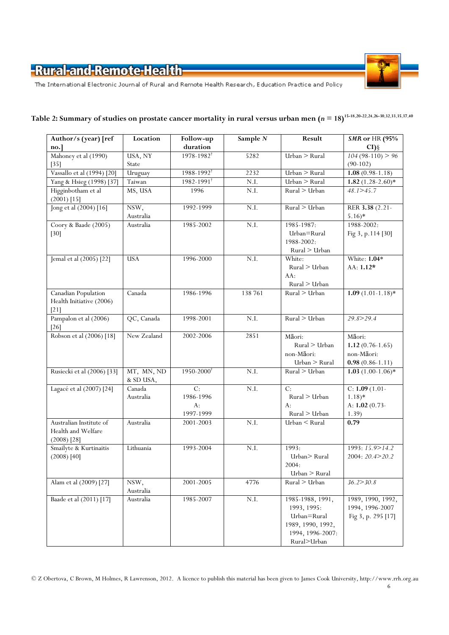

The International Electronic Journal of Rural and Remote Health Research, Education Practice and Policy

| Author/s (year) [ref                                             | Location                | Follow-up                                           | Sample N   | Result                                                                                                 | <b>SMR</b> or HR (95%                                            |
|------------------------------------------------------------------|-------------------------|-----------------------------------------------------|------------|--------------------------------------------------------------------------------------------------------|------------------------------------------------------------------|
| no.                                                              |                         | duration                                            |            |                                                                                                        | $CI$ ) §                                                         |
| Mahoney et al (1990)                                             | USA, NY                 | 1978-1982 <sup>†</sup>                              | 5282       | Urban > Rural                                                                                          | $104(98-110) > 96$                                               |
| [35]                                                             | State                   |                                                     |            |                                                                                                        | $(90-102)$                                                       |
| Vassallo et al (1994) [20]                                       | Uruguay                 | 1988-1992 <sup>†</sup>                              | 2232       | Urban > Rural                                                                                          | $1.08(0.98-1.18)$                                                |
| Yang & Hsieg (1998) [37]                                         | Taiwan                  | $1982 - 1991$ <sup>†</sup>                          | $\rm N.I.$ | Urban > Rural                                                                                          | $1.82(1.28-2.60)*$                                               |
| Higginbotham et al<br>$(2001)$ [15]                              | MS, USA                 | 1996                                                | N.I.       | Rural > Urban                                                                                          | 48.1 > 45.7                                                      |
| Jong et al (2004) [16]                                           | NSW,<br>Australia       | 1992-1999                                           | N.I.       | Rural > Urban                                                                                          | RER 3.38 (2.21-<br>$5.16*$                                       |
| Coory & Baade (2005)<br>$[30]$                                   | Australia               | 1985-2002                                           | N.I.       | 1985-1987:<br>Urban=Rural<br>1988-2002:<br>Rural > Urban                                               | 1988-2002:<br>Fig 3, p.114 [30]                                  |
| Jemal et al (2005) [22]                                          | <b>USA</b>              | 1996-2000                                           | N.I.       | White:<br>Rural > Urban<br>AA:<br>Rural > Urban                                                        | White: 1.04*<br>AA: 1.12*                                        |
| <b>Canadian Population</b><br>Health Initiative (2006)<br>$[21]$ | Canada                  | 1986-1996                                           | 138 761    | Rural > Urban                                                                                          | $1.09(1.01-1.18)$ *                                              |
| Pampalon et al (2006)<br>$[26]$                                  | QC, Canada              | 1998-2001                                           | N.I.       | Rural > Urban                                                                                          | 29.8 > 29.4                                                      |
| Robson et al (2006) [18]                                         | New Zealand             | 2002-2006                                           | 2851       | Māori:<br>Rural > Urban<br>non-Māori:<br>Urban > Rural                                                 | Māori:<br>$1.12(0.76-1.65)$<br>non-Māori:<br>$0.98(0.86 - 1.11)$ |
| Rusiecki et al (2006) [33]                                       | MT, MN, ND<br>& SD USA, | 1950-2000 <sup>†</sup>                              | N.I.       | Rural > Urban                                                                                          | $1.03(1.00-1.06)$ *                                              |
| Lagacé et al (2007) [24]                                         | Canada<br>Australia     | $\overline{C}$ :<br>1986-1996<br>$A$ :<br>1997-1999 | N.I.       | C:<br>Rural > Urban<br>$A$ :<br>Rural > Urban                                                          | $C: 1.09(1.01 -$<br>$1.18)*$<br>A: $1.02(0.73-$<br>1.39)         |
| Australian Institute of<br>Health and Welfare<br>$(2008)$ [28]   | Australia               | 2001-2003                                           | N.I.       | Urban < Rural                                                                                          | 0.79                                                             |
| Smailyte & Kurtinaitis<br>$(2008)$ [40]                          | Lithuania               | 1993-2004                                           | N.I.       | 1993:<br>Urban>Rural<br>2004:<br>Urban > Rural                                                         | 1993: 15.9>14.2<br>2004: 20.4>20.2                               |
| Alam et al (2009) [27]                                           | NSW,<br>Australia       | 2001-2005                                           | 4776       | Rural > Urban                                                                                          | 36.2 > 30.8                                                      |
| Baade et al (2011) [17]                                          | Australia               | 1985-2007                                           | $\rm N.I.$ | 1985-1988, 1991,<br>1993, 1995:<br>Urban=Rural<br>1989, 1990, 1992,<br>1994, 1996-2007:<br>Rural>Urban | 1989, 1990, 1992,<br>1994, 1996-2007<br>Fig 3, p. 295 [17]       |

# Table 2: Summary of studies on prostate cancer mortality in rural versus urban men  $(n = 18)^{15-18,20-22,24,26-30,32,33,35,37,40}$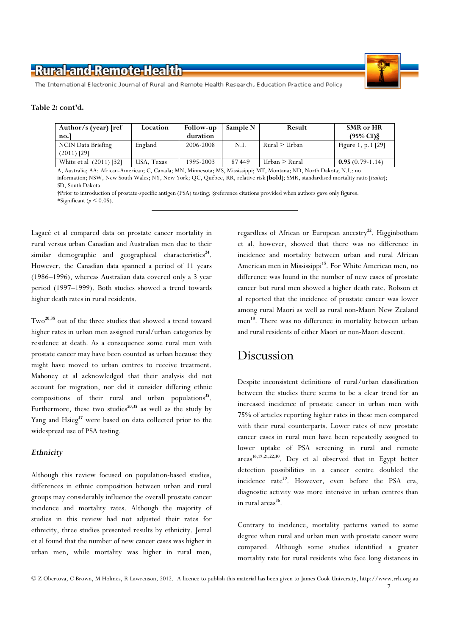

The International Electronic Journal of Rural and Remote Health Research, Education Practice and Policy

#### Table 2: cont'd.

| Location   | <b>Follow-up</b> | Sample N | Result             | <b>SMR</b> or HR     |
|------------|------------------|----------|--------------------|----------------------|
|            | duration         |          |                    | $(95\% \text{ C1})\$ |
| England    | 2006-2008        | N.I.     | Rural > Urban      | Figure 1, p.1 $[29]$ |
|            |                  |          |                    |                      |
| USA, Texas | 1995-2003        | 87449    | $Urban \geq Rural$ | $0.95(0.79-1.14)$    |
|            |                  |          |                    |                      |

A, Australia; AA: African-American; C, Canada; MN, Minnesota; MS, Mississippi; MT, Montana; ND, North Dakota; N.I.: no information; NSW, New South Wales; NY, New York; QC, Québec, RR, relative risk [bold]; SMR, standardised mortality ratio [italics]; SD, South Dakota.

†Prior to introduction of prostate-specific antigen (PSA) testing; §reference citations provided when authors gave only figures. \*Significant ( $p < 0.05$ ).

Lagacé et al compared data on prostate cancer mortality in rural versus urban Canadian and Australian men due to their similar demographic and geographical characteristics<sup>24</sup>. However, the Canadian data spanned a period of 11 years (1986–1996), whereas Australian data covered only a 3 year period (1997–1999). Both studies showed a trend towards higher death rates in rural residents.

Two<sup>20</sup>,<sup>35</sup> out of the three studies that showed a trend toward higher rates in urban men assigned rural/urban categories by residence at death. As a consequence some rural men with prostate cancer may have been counted as urban because they might have moved to urban centres to receive treatment. Mahoney et al acknowledged that their analysis did not account for migration, nor did it consider differing ethnic compositions of their rural and urban populations<sup>35</sup>. Furthermore, these two studies<sup>20,35</sup> as well as the study by Yang and  $H\text{sieg}^{37}$  were based on data collected prior to the widespread use of PSA testing.

### **Ethnicity**

Although this review focused on population-based studies, differences in ethnic composition between urban and rural groups may considerably influence the overall prostate cancer incidence and mortality rates. Although the majority of studies in this review had not adjusted their rates for ethnicity, three studies presented results by ethnicity. Jemal et al found that the number of new cancer cases was higher in urban men, while mortality was higher in rural men,

regardless of African or European ancestry<sup>22</sup>. Higginbotham et al, however, showed that there was no difference in incidence and mortality between urban and rural African American men in Mississippi<sup>15</sup>. For White American men, no difference was found in the number of new cases of prostate cancer but rural men showed a higher death rate. Robson et al reported that the incidence of prostate cancer was lower among rural Maori as well as rural non-Maori New Zealand men<sup>18</sup>. There was no difference in mortality between urban and rural residents of either Maori or non-Maori descent.

## Discussion

Despite inconsistent definitions of rural/urban classification between the studies there seems to be a clear trend for an increased incidence of prostate cancer in urban men with 75% of articles reporting higher rates in these men compared with their rural counterparts. Lower rates of new prostate cancer cases in rural men have been repeatedly assigned to lower uptake of PSA screening in rural and remote areas<sup>16,17,21,22,30</sup>. Dey et al observed that in Egypt better detection possibilities in a cancer centre doubled the incidence rate<sup>39</sup>. However, even before the PSA era, diagnostic activity was more intensive in urban centres than in rural areas<sup>36</sup>.

Contrary to incidence, mortality patterns varied to some degree when rural and urban men with prostate cancer were compared. Although some studies identified a greater mortality rate for rural residents who face long distances in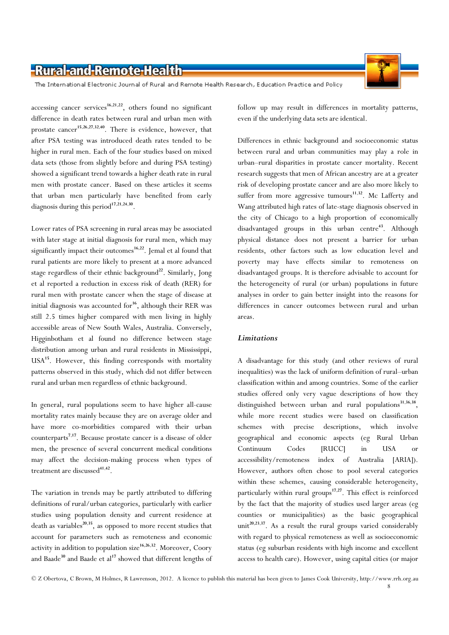

The International Electronic Journal of Rural and Remote Health Research, Education Practice and Policy

 $accessing cancer services<sup>16,21,22</sup>, others found no significant$ difference in death rates between rural and urban men with prostate cancer<sup>15,26,27,32,40</sup>. There is evidence, however, that after PSA testing was introduced death rates tended to be higher in rural men. Each of the four studies based on mixed data sets (those from slightly before and during PSA testing) showed a significant trend towards a higher death rate in rural men with prostate cancer. Based on these articles it seems that urban men particularly have benefited from early diagnosis during this period<sup>17,21,24,30</sup>.

Lower rates of PSA screening in rural areas may be associated with later stage at initial diagnosis for rural men, which may significantly impact their outcomes<sup>16,22</sup>. Jemal et al found that rural patients are more likely to present at a more advanced stage regardless of their ethnic background<sup>22</sup>. Similarly, Jong et al reported a reduction in excess risk of death (RER) for rural men with prostate cancer when the stage of disease at initial diagnosis was accounted for $16$ , although their RER was still 2.5 times higher compared with men living in highly accessible areas of New South Wales, Australia. Conversely, Higginbotham et al found no difference between stage distribution among urban and rural residents in Mississippi, USA<sup>15</sup>. However, this finding corresponds with mortality patterns observed in this study, which did not differ between rural and urban men regardless of ethnic background.

In general, rural populations seem to have higher all-cause mortality rates mainly because they are on average older and have more co-morbidities compared with their urban counterparts<sup>7,17</sup>. Because prostate cancer is a disease of older men, the presence of several concurrent medical conditions may affect the decision-making process when types of treatment are discussed<sup>41,42</sup>.

The variation in trends may be partly attributed to differing definitions of rural/urban categories, particularly with earlier studies using population density and current residence at death as variables<sup>20,35</sup>, as opposed to more recent studies that account for parameters such as remoteness and economic activity in addition to population size<sup>16,26,32</sup>. Moreover, Coory and Baade<sup>30</sup> and Baade et al<sup>17</sup> showed that different lengths of follow up may result in differences in mortality patterns, even if the underlying data sets are identical.

Differences in ethnic background and socioeconomic status between rural and urban communities may play a role in urban–rural disparities in prostate cancer mortality. Recent research suggests that men of African ancestry are at a greater risk of developing prostate cancer and are also more likely to suffer from more aggressive tumours<sup>11,32</sup>. Mc Lafferty and Wang attributed high rates of late-stage diagnosis observed in the city of Chicago to a high proportion of economically disadvantaged groups in this urban centre<sup>43</sup>. Although physical distance does not present a barrier for urban residents, other factors such as low education level and poverty may have effects similar to remoteness on disadvantaged groups. It is therefore advisable to account for the heterogeneity of rural (or urban) populations in future analyses in order to gain better insight into the reasons for differences in cancer outcomes between rural and urban areas.

### **Limitations**

A disadvantage for this study (and other reviews of rural inequalities) was the lack of uniform definition of rural–urban classification within and among countries. Some of the earlier studies offered only very vague descriptions of how they distinguished between urban and rural populations<sup>31,36,38</sup>, while more recent studies were based on classification schemes with precise descriptions, which involve geographical and economic aspects (eg Rural Urban Continuum Codes [RUCC] in USA or accessibility/remoteness index of Australia [ARIA]). However, authors often chose to pool several categories within these schemes, causing considerable heterogeneity, particularly within rural groups<sup>17,27</sup>. This effect is reinforced by the fact that the majority of studies used larger areas (eg counties or municipalities) as the basic geographical unit<sup>20,23,37</sup>. As a result the rural groups varied considerably with regard to physical remoteness as well as socioeconomic status (eg suburban residents with high income and excellent access to health care). However, using capital cities (or major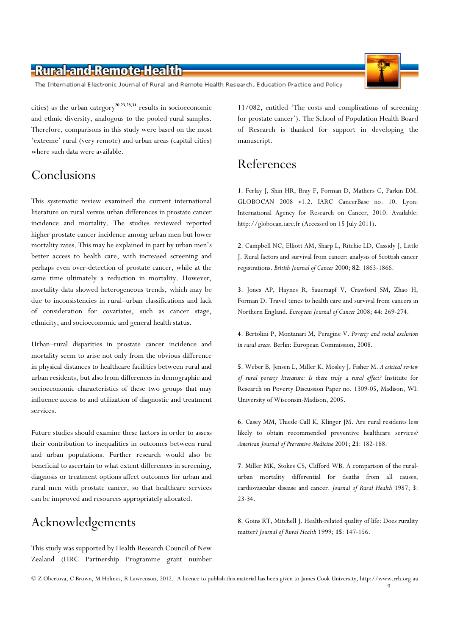The International Electronic Journal of Rural and Remote Health Research, Education Practice and Policy

cities) as the urban category<sup>20,23,28,31</sup> results in socioeconomic and ethnic diversity, analogous to the pooled rural samples. Therefore, comparisons in this study were based on the most 'extreme' rural (very remote) and urban areas (capital cities) where such data were available.

# Conclusions

This systematic review examined the current international literature on rural versus urban differences in prostate cancer incidence and mortality. The studies reviewed reported higher prostate cancer incidence among urban men but lower mortality rates. This may be explained in part by urban men's better access to health care, with increased screening and perhaps even over-detection of prostate cancer, while at the same time ultimately a reduction in mortality. However, mortality data showed heterogeneous trends, which may be due to inconsistencies in rural–urban classifications and lack of consideration for covariates, such as cancer stage, ethnicity, and socioeconomic and general health status.

Urban–rural disparities in prostate cancer incidence and mortality seem to arise not only from the obvious difference in physical distances to healthcare facilities between rural and urban residents, but also from differences in demographic and socioeconomic characteristics of these two groups that may influence access to and utilization of diagnostic and treatment services.

Future studies should examine these factors in order to assess their contribution to inequalities in outcomes between rural and urban populations. Further research would also be beneficial to ascertain to what extent differences in screening, diagnosis or treatment options affect outcomes for urban and rural men with prostate cancer, so that healthcare services can be improved and resources appropriately allocated.

# Acknowledgements

This study was supported by Health Research Council of New Zealand (HRC Partnership Programme grant number 11/082, entitled 'The costs and complications of screening for prostate cancer'). The School of Population Health Board of Research is thanked for support in developing the manuscript.

# References

1. Ferlay J, Shin HR, Bray F, Forman D, Mathers C, Parkin DM. GLOBOCAN 2008 v1.2. IARC CancerBase no. 10. Lyon: International Agency for Research on Cancer, 2010. Available: http://globocan.iarc.fr (Accessed on 15 July 2011).

2. Campbell NC, Elliott AM, Sharp L, Ritchie LD, Cassidy J, Little J. Rural factors and survival from cancer: analysis of Scottish cancer registrations. British Journal of Cancer 2000; 82: 1863-1866.

3. Jones AP, Haynes R, Sauerzapf V, Crawford SM, Zhao H, Forman D. Travel times to health care and survival from cancers in Northern England. European Journal of Cancer 2008; 44: 269-274.

4. Bertolini P, Montanari M, Peragine V. Poverty and social exclusion in rural areas. Berlin: European Commission, 2008.

5. Weber B, Jensen L, Miller K, Mosley J, Fisher M. A critical review of rural poverty literature: Is there truly a rural effect? Institute for Research on Poverty Discussion Paper no. 1309-05, Madison, WI: University of Wisconsin-Madison, 2005.

6. Casey MM, Thiede Call K, Klinger JM. Are rural residents less likely to obtain recommended preventive healthcare services? American Journal of Preventive Medicine 2001; 21: 182-188.

7. Miller MK, Stokes CS, Clifford WB. A comparison of the ruralurban mortality differential for deaths from all causes, cardiovascular disease and cancer. Journal of Rural Health 1987; 3: 23-34.

8. Goins RT, Mitchell J. Health-related quality of life: Does rurality matter? Journal of Rural Health 1999; 15: 147-156.

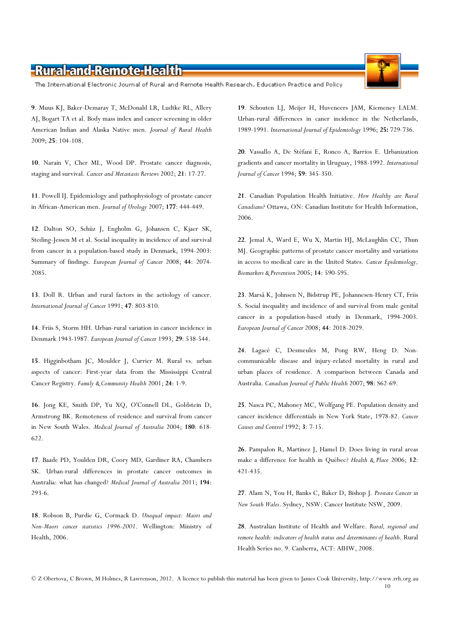The International Electronic Journal of Rural and Remote Health Research, Education Practice and Policy

9. Muus KJ, Baker-Demaray T, McDonald LR, Ludtke RL, Allery AJ, Bogart TA et al. Body mass index and cancer screening in older American Indian and Alaska Native men. Journal of Rural Health 2009; 25: 104-108.

10. Narain V, Cher ML, Wood DP. Prostate cancer diagnosis, staging and survival. Cancer and Metastasis Reviews 2002; 21: 17-27.

11. Powell IJ. Epidemiology and pathophysiology of prostate cancer in African-American men. Journal of Urology 2007; 177: 444-449.

12. Dalton SO, Schüz J, Engholm G, Johansen C, Kjaer SK, Steding-Jessen M et al. Social inequality in incidence of and survival from cancer in a population-based study in Denmark, 1994-2003: Summary of findings. European Journal of Cancer 2008; 44: 2074- 2085.

13. Doll R. Urban and rural factors in the aetiology of cancer. International Journal of Cancer 1991; 47: 803-810.

14. Friis S, Storm HH. Urban-rural variation in cancer incidence in Denmark 1943-1987. European Journal of Cancer 1993; 29: 538-544.

15. Higginbotham JC, Moulder J, Currier M. Rural vs. urban aspects of cancer: First-year data from the Mississippi Central Cancer Registry. Family & Community Health 2001; 24: 1-9.

16. Jong KE, Smith DP, Yu XQ, O'Connell DL, Goldstein D, Armstrong BK. Remoteness of residence and survival from cancer in New South Wales. Medical Journal of Australia 2004; 180: 618- 622.

17. Baade PD, Youlden DR, Coory MD, Gardiner RA, Chambers SK. Urban-rural differences in prostate cancer outcomes in Australia: what has changed? Medical Journal of Australia 2011; 194: 293-6.

18. Robson B, Purdie G, Cormack D. Unequal impact: Maori and Non-Maori cancer statistics 1996-2001. Wellington: Ministry of Health, 2006.

19. Schouten LJ, Meijer H, Huveneers JAM, Kiemeney LALM. Urban-rural differences in caner incidence in the Netherlands, 1989-1991. International Journal of Epidemiology 1996; 25: 729-736.

20. Vassallo A, De Stéfani E, Ronco A, Barrios E. Urbanization gradients and cancer mortality in Uruguay, 1988-1992. International Journal of Cancer 1994; 59: 345-350.

21. Canadian Population Health Initiative. How Healthy are Rural Canadians? Ottawa, ON: Canadian Institute for Health Information, 2006.

22. Jemal A, Ward E, Wu X, Martin HJ, McLaughlin CC, Thun MJ. Geographic patterns of prostate cancer mortality and variations in access to medical care in the United States. Cancer Epidemiology, Biomarkers & Prevention 2005; 14: 590-595.

23. Marså K, Johnsen N, Bidstrup PE, Johannesen-Henry CT, Friis S. Social inequality and incidence of and survival from male genital cancer in a population-based study in Denmark, 1994-2003. European Journal of Cancer 2008; 44: 2018-2029.

24. Lagacé C, Desmeules M, Pong RW, Heng D. Noncommunicable disease and injury-related mortality in rural and urban places of residence. A comparison between Canada and Australia. Canadian Journal of Public Health 2007; 98: S62-69.

25. Nasca PC, Mahoney MC, Wolfgang PE. Population density and cancer incidence differentials in New York State, 1978-82. Cancer Causes and Control 1992; 3: 7-15.

26. Pampalon R, Martinez J, Hamel D. Does living in rural areas make a difference for health in Québec? Health & Place 2006; 12: 421-435.

27. Alam N, You H, Banks C, Baker D, Bishop J. Prostate Cancer in New South Wales. Sydney, NSW: Cancer Institute NSW, 2009.

28. Australian Institute of Health and Welfare. Rural, regional and remote health: indicators of health status and determinants of health. Rural Health Series no. 9. Canberra, ACT: AIHW, 2008.